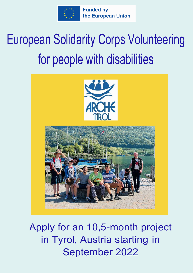

# European Solidarity Corps Volunteering for people with disabilities



Apply for an 10,5-month project in Tyrol, Austria starting in September 2022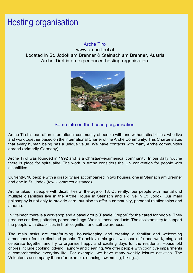#### Hosting organisation

#### Arche Tirol

www.arche-tirol.at Located in St. Jodok am Brenner & Steinach am Brenner, Austria Arche Tirol is an experienced hosting organisation.



#### Some info on the hosting organisation:

Arche Tirol is part of an international community of people with and without disabilities, who live and work together based on the international Charter of the Arche Community. This Charter states that every human being has a unique value. We have contacts with many Arche communities abroad (primarily Germany).

Arche Tirol was founded in 1992 and is a Christian–ecumenical community. In our daily routine there is place for spirituality. The work in Arche considers the UN convention for people with disabilities.

Currently, 10 people with a disability are accompanied in two houses, one in Steinach am Brenner and one in St. Jodok (few kilometres distance).

Arche takes in people with disabilities at the age of 18. Currently, four people with mental und multiple disabilities live in the Arche House in Steinach and six live in St. Jodok. Our main philosophy is not only to provide care, but also to offer a community, personal relationships and a home.

In Steinach there is a workshop and a basal group (Basale Gruppe) for the cared for people. They produce candles, potteries, paper and bags. We sell these products. The assistants try to support the people with disabilities in their cognition and self-awareness.

The main tasks are care/nursing, housekeeping and creating a familiar and welcoming atmosphere for the disabled people. To achieve this goal, we share life and work, sing and celebrate together and try to organise happy and exciting days for the residents. Household chores include cooking, tidying, laundry and cleaning. We offer people with cognitive impairments a comprehensive everyday life. For example, we have many weekly leisure activities. The Volunteers accompany them (for example: dancing, swimming, hiking...).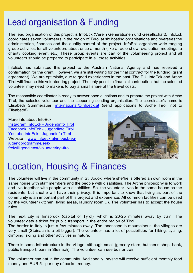### Lead organisation & Funding

The lead organisation of this project is InfoEck (Verein Generationen und Gesellschaft). InfoEck coordinates seven volunteers in the region of Tyrol at six hosting organisations and oversees the administration, finances and the quality control of the project. InfoEck organises wide-ranging group activities for all volunteers about once a month (like a radio show, evaluation meetings, a charity cooking event etc.) These group events are part of the volunteering project and all volunteers should be prepared to participate in all these activities.

InfoEck has submitted this project to the Austrian National Agency and has received a confirmation for the grant. However, we are still waiting for the final contract for the funding (grant agreement). We are optimistic, due to good experiences in the past. The EU, InfoEck and Arche Tirol will finance this volunteering project. The only possible financial contribution that the selected volunteer may need to make is to pay a small share of the travel costs.

The responsible coordinator is ready to answer open questions and to prepare the project with Arche Tirol, the selected volunteer and the supporting sending organisation. The coordinator's name is Elisabeth Summerauer: international@infoeck.at (send applications to Arche Tirol, not to Elisabeth!).

More info about InfoEck: Instagram InfoEck - Jugendinfo Tirol Facebook InfoEck - Jugendinfo Tirol Youtube InfoEck - Jugendinfo Tirol Website www.infoeck.at/infoeck-eujugendprogramme/eskfreiwilligendienst/volunteering-tirol



#### Location, Housing & Finances

The volunteer will live in the community in St. Jodok, where she/he is offered an own room in the same house with staff members and the people with disabilities. The Arche philosophy is to work and live together with people with disabilities. So, the volunteer lives in the same house as the residents, but she/he will have their privacy. It is important to know that living as part of the community is an important part of this project and experience. All common facilities can be used by the volunteer (kitchen, living areas, laundry room…). The volunteer has to accept the house rules.

The next city is Innsbruck (capital of Tyrol), which is 20-25 minutes away by train. The volunteer gets a ticket for public transport in the entire region of Tirol.

The border to Italy is just a few minutes away. The landscape is mountainous, the villages are very small (Steinach is a bit bigger). The volunteer has a lot of possibilities for hiking, cycling, climbing, skiing and other activities in nature.

There is some infrastructure in the village, although small (grocery store, butcher's shop, bank, public transport, bars in Steinach). The volunteer can use bus or train.

The volunteer can eat in the community. Additionally, he/she will receive sufficient monthly food money and EUR 5,- per day of pocket money.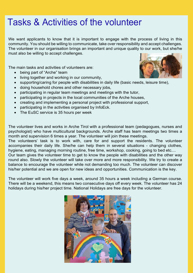#### Tasks & Activities of the volunteer

We want applicants to know that it is important to engage with the process of living in this community. You should be willing to communicate, take over responsibility and accept challenges. The volunteer in our organisation brings an important and unique quality to our work, but she/he must also be willing to accept challenges.

The main tasks and activities of volunteers are:

- being part of "Arche" team
- living together and working in our community,
- supporting/caring for people with disabilities in daily life (basic needs, leisure time),
- doing household chores and other necessary jobs,
- participating in regular team meetings and meetings with the tutor,
- participating in projects in the local communities of the Arche houses,
- creating and implementing a personal project with professional support,
- participating in the activities organised by InfoEck.
- The EuSC service is 35 hours per week

The volunteer lives and works in Arche Tirol with a professional team (pedagogues, nurses and psychologist) who have multicultural backgrounds. Arche staff has team meetings two times a month and supervision 6 times a year. The volunteer will join these meetings.

The volunteers' task is to work with, care for and support the residents. The volunteer accompanies their daily life. She/he can help them in several situations - changing clothes, hygiene, eating, managing morning routine, free time, workshop, cooking, going to bed etc....

Our team gives the volunteer time to get to know the people with disabilities and the other way round also. Slowly the volunteer will take over more and more responsibility. We try to create a balance to encourage the volunteer while not demanding too much. The volunteer can discover his/her potential and we are open for new ideas and opportunities. Communication is the key.

The volunteer will work five days a week, around 35 hours a week including a German course. There will be a weekend, this means two consecutive days off every week. The volunteer has 24 holidays during his/her project time. National Holidays are free days for the volunteer.



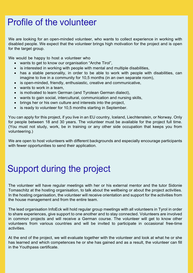### Profile of the volunteer

We are looking for an open-minded volunteer, who wants to collect experience in working with disabled people. We expect that the volunteer brings high motivation for the project and is open for the target group.

We would be happy to host a volunteer who

- wants to get to know our organisation "Arche Tirol",
- is interested in working with people with mental and multiple disabilities,
- has a stable personality, in order to be able to work with people with disabilities, can imagine to live in a community for 10,5 months (in an own separate room),
- is open-minded, friendly, enthusiastic, creative and communicative,
- wants to work in a team,
- is motivated to learn German (and Tyrolean German dialect),
- wants to gain social, intercultural, communication and nursing skills,
- brings her or his own culture and interests into the project,
- is ready to volunteer for 10,5 months starting in September.

You can apply for this project, if you live in an EU country, Iceland, Liechtenstein, or Norway. Only for people between 18 and 30 years. The volunteer must be available for the project full time. (You must not study, work, be in training or any other side occupation that keeps you from volunteering.)

We are open to host volunteers with different backgrounds and especially encourage participants with fewer opportunities to send their application.

### Support during the project

The volunteer will have regular meetings with her or his external mentor and the tutor Sidonie Tomaschitz at the hosting organisation, to talk about the wellbeing or about the project activities. In the hosting organisation, the volunteer will receive orientation and support for the activities from the house management and from the entire team.

The lead organisation InfoEck will hold regular group meetings with all volunteers in Tyrol in order to share experiences, give support to one another and to stay connected. Volunteers are involved in common projects and will receive a German course. The volunteer will get to know other volunteers from various countries and will be invited to participate in occasional free-time activities.

 At the end of the project, we will evaluate together with the volunteer and look at what he or she has learned and which competences he or she has gained and as a result, the volunteer can fill in the Youthpass certificate.